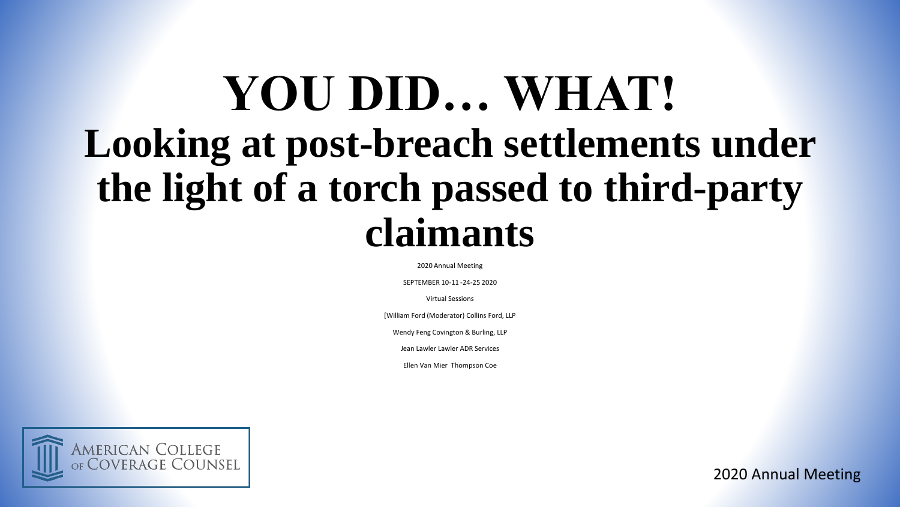# **YOU DID… WHAT! Looking at post-breach settlements under the light of a torch passed to third-party claimants**

2020 Annual Meeting

SEPTEMBER 10-11 -24-25 2020

Virtual Sessions

[William Ford (Moderator) Collins Ford, LLP

Wendy Feng Covington & Burling, LLP

Jean Lawler Lawler ADR Services

Ellen Van Mier Thompson Coe



2020 Annual Meeting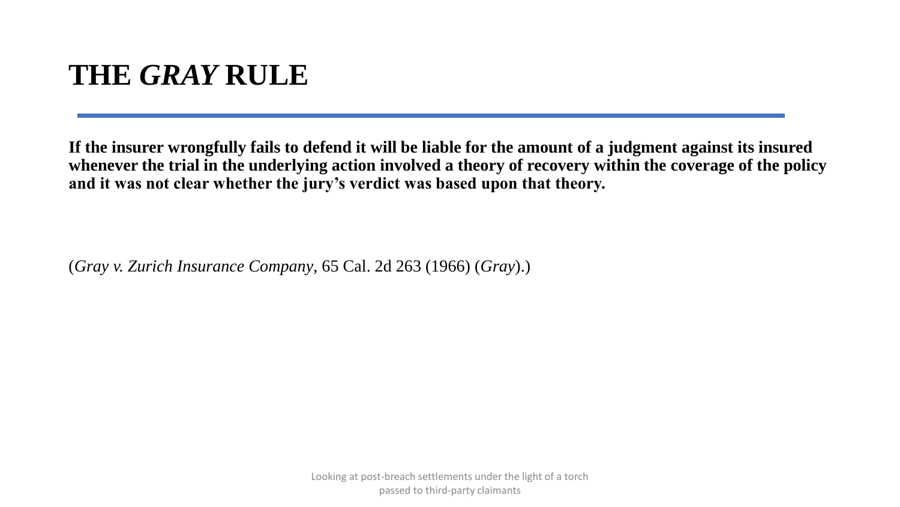# **THE** *GRAY* **RULE**

**If the insurer wrongfully fails to defend it will be liable for the amount of a judgment against its insured whenever the trial in the underlying action involved a theory of recovery within the coverage of the policy and it was not clear whether the jury's verdict was based upon that theory.** 

(*Gray v. Zurich Insurance Company*, 65 Cal. 2d 263 (1966) (*Gray*).)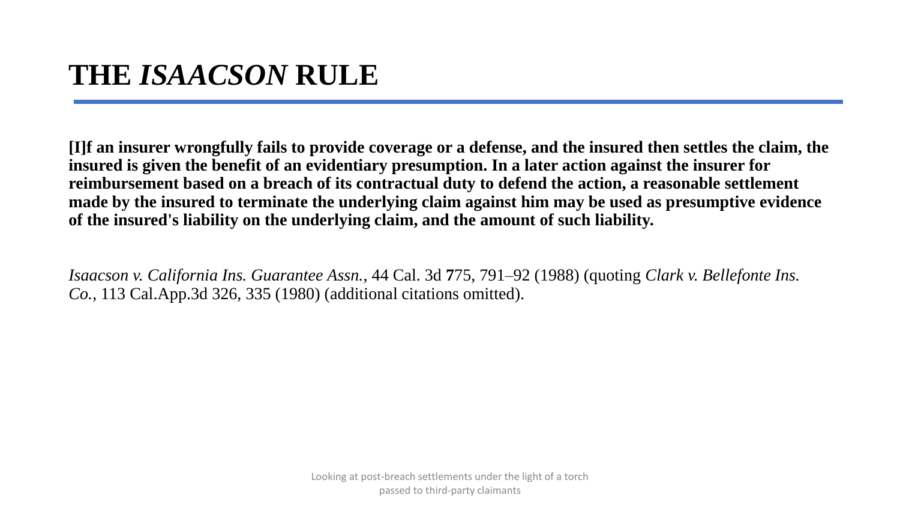# **THE** *ISAACSON* **RULE**

**[I]f an insurer wrongfully fails to provide coverage or a defense, and the insured then settles the claim, the insured is given the benefit of an evidentiary presumption. In a later action against the insurer for reimbursement based on a breach of its contractual duty to defend the action, a reasonable settlement made by the insured to terminate the underlying claim against him may be used as presumptive evidence of the insured's liability on the underlying claim, and the amount of such liability.** 

*Isaacson v. California Ins. Guarantee Assn.*, 44 Cal. 3d **7**75, 791–92 (1988) (quoting *Clark v. Bellefonte Ins. Co.*, 113 Cal.App.3d 326, 335 (1980) (additional citations omitted).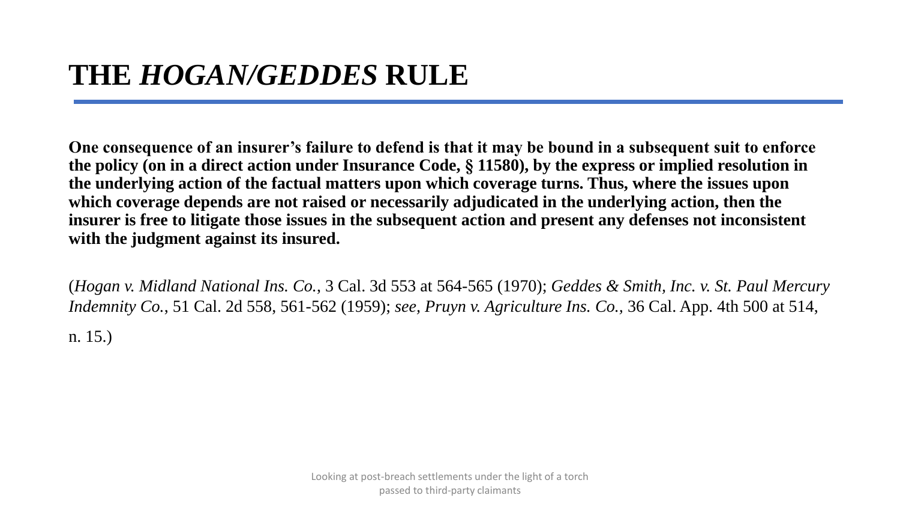**One consequence of an insurer's failure to defend is that it may be bound in a subsequent suit to enforce the policy (on in a direct action under Insurance Code, § 11580), by the express or implied resolution in the underlying action of the factual matters upon which coverage turns. Thus, where the issues upon which coverage depends are not raised or necessarily adjudicated in the underlying action, then the insurer is free to litigate those issues in the subsequent action and present any defenses not inconsistent with the judgment against its insured.** 

(*Hogan v. Midland National Ins. Co.*, 3 Cal. 3d 553 at 564-565 (1970); *Geddes & Smith, Inc. v. St. Paul Mercury Indemnity Co.*, 51 Cal. 2d 558, 561-562 (1959); *see, Pruyn v. Agriculture Ins. Co.,* 36 Cal. App. 4th 500 at 514, n. 15.)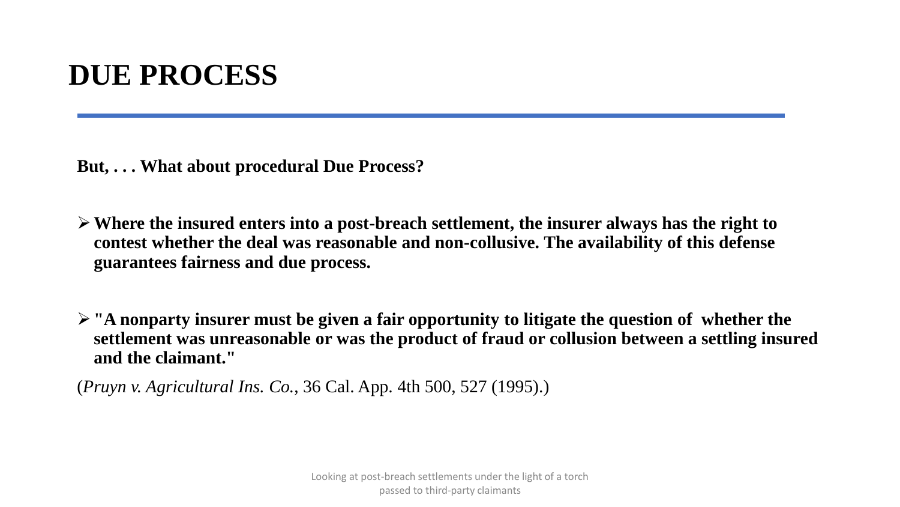## **DUE PROCESS**

**But, . . . What about procedural Due Process?** 

- **Where the insured enters into a post-breach settlement, the insurer always has the right to contest whether the deal was reasonable and non-collusive. The availability of this defense guarantees fairness and due process.**
- **"A nonparty insurer must be given a fair opportunity to litigate the question of whether the settlement was unreasonable or was the product of fraud or collusion between a settling insured and the claimant."**

(*Pruyn v. Agricultural Ins. Co.*, 36 Cal. App. 4th 500, 527 (1995).)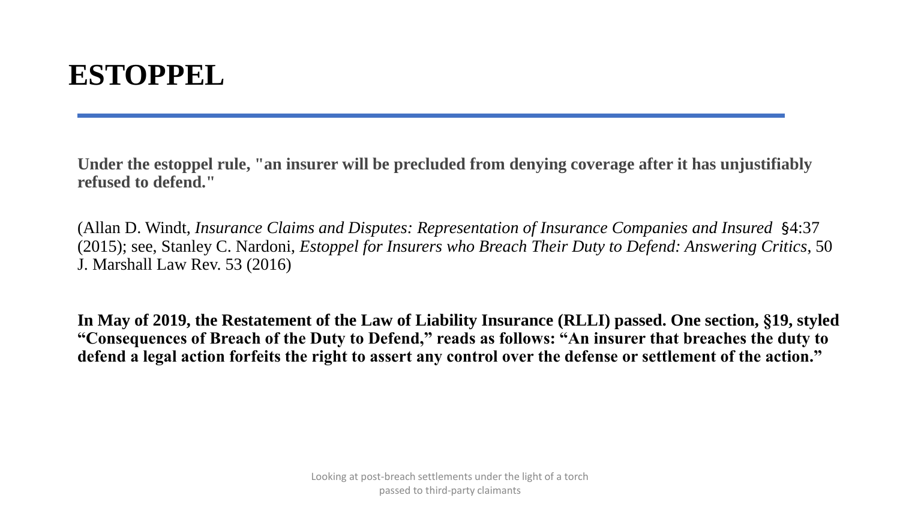# **ESTOPPEL**

**Under the estoppel rule, "an insurer will be precluded from denying coverage after it has unjustifiably refused to defend."**

(Allan D. Windt, *Insurance Claims and Disputes: Representation of Insurance Companies and Insured* §4:37 (2015); see, Stanley C. Nardoni, *Estoppel for Insurers who Breach Their Duty to Defend: Answering Critics*, 50 J. Marshall Law Rev. 53 (2016)

**In May of 2019, the Restatement of the Law of Liability Insurance (RLLI) passed. One section, §19, styled "Consequences of Breach of the Duty to Defend," reads as follows: "An insurer that breaches the duty to defend a legal action forfeits the right to assert any control over the defense or settlement of the action."**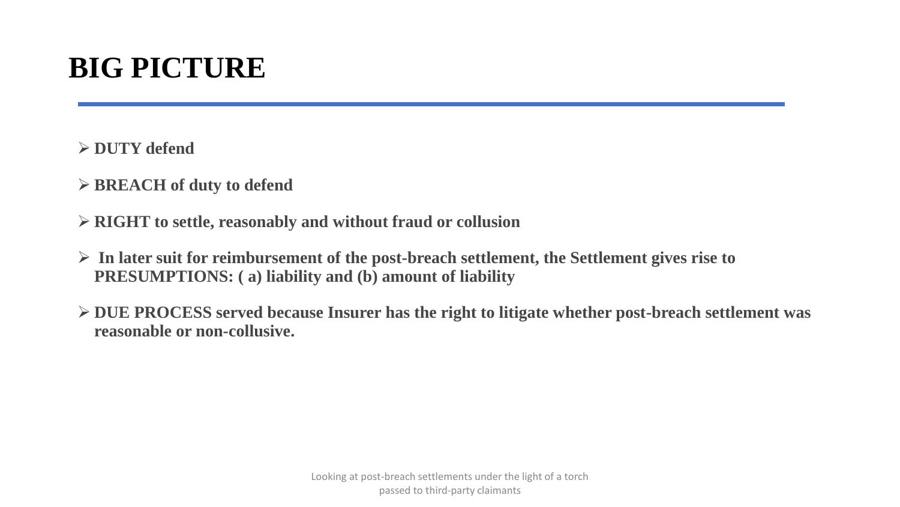# **BIG PICTURE**

**DUTY defend**

- **BREACH of duty to defend**
- **RIGHT to settle, reasonably and without fraud or collusion**
- **In later suit for reimbursement of the post-breach settlement, the Settlement gives rise to PRESUMPTIONS: ( a) liability and (b) amount of liability**
- **DUE PROCESS served because Insurer has the right to litigate whether post-breach settlement was reasonable or non-collusive.**